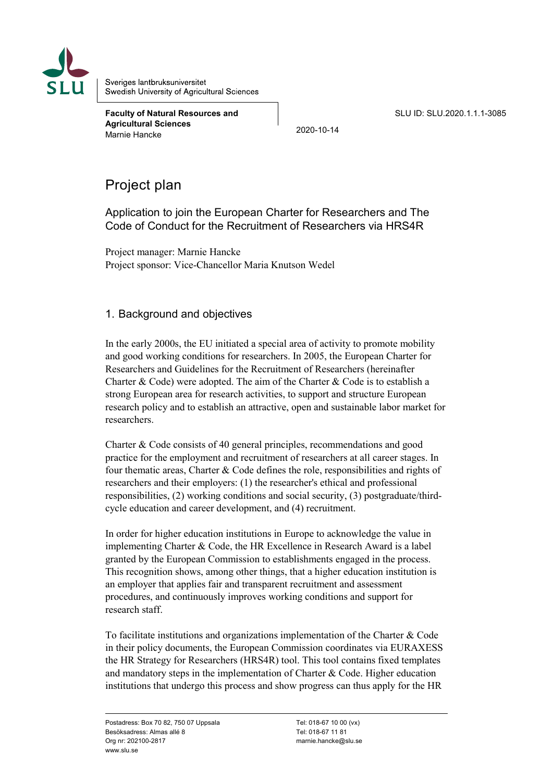

Sveriges lantbruksuniversitet Swedish University of Agricultural Sciences

**Faculty of Natural Resources and Agricultural Sciences** Marnie Hancke

2020-10-14

SLU ID: SLU.2020.1.1.1-3085

# Project plan

Application to join the European Charter for Researchers and The Code of Conduct for the Recruitment of Researchers via HRS4R

Project manager: Marnie Hancke Project sponsor: Vice-Chancellor Maria Knutson Wedel

# 1. Background and objectives

In the early 2000s, the EU initiated a special area of activity to promote mobility and good working conditions for researchers. In 2005, the European Charter for Researchers and Guidelines for the Recruitment of Researchers (hereinafter Charter & Code) were adopted. The aim of the Charter & Code is to establish a strong European area for research activities, to support and structure European research policy and to establish an attractive, open and sustainable labor market for researchers.

Charter & Code consists of 40 general principles, recommendations and good practice for the employment and recruitment of researchers at all career stages. In four thematic areas, Charter & Code defines the role, responsibilities and rights of researchers and their employers: (1) the researcher's ethical and professional responsibilities, (2) working conditions and social security, (3) postgraduate/thirdcycle education and career development, and (4) recruitment.

In order for higher education institutions in Europe to acknowledge the value in implementing Charter & Code, the HR Excellence in Research Award is a label granted by the European Commission to establishments engaged in the process. This recognition shows, among other things, that a higher education institution is an employer that applies fair and transparent recruitment and assessment procedures, and continuously improves working conditions and support for research staff.

To facilitate institutions and organizations implementation of the Charter & Code in their policy documents, the European Commission coordinates via EURAXESS the HR Strategy for Researchers (HRS4R) tool. This tool contains fixed templates and mandatory steps in the implementation of Charter & Code. Higher education institutions that undergo this process and show progress can thus apply for the HR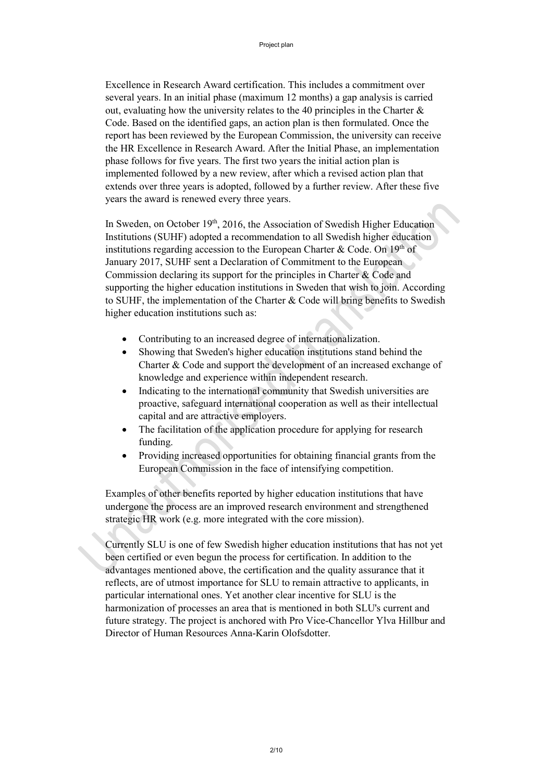Excellence in Research Award certification. This includes a commitment over several years. In an initial phase (maximum 12 months) a gap analysis is carried out, evaluating how the university relates to the 40 principles in the Charter & Code. Based on the identified gaps, an action plan is then formulated. Once the report has been reviewed by the European Commission, the university can receive the HR Excellence in Research Award. After the Initial Phase, an implementation phase follows for five years. The first two years the initial action plan is implemented followed by a new review, after which a revised action plan that extends over three years is adopted, followed by a further review. After these five years the award is renewed every three years.

In Sweden, on October  $19<sup>th</sup>$ , 2016, the Association of Swedish Higher Education Institutions (SUHF) adopted a recommendation to all Swedish higher education institutions regarding accession to the European Charter & Code. On  $19<sup>th</sup>$  of January 2017, SUHF sent a Declaration of Commitment to the European Commission declaring its support for the principles in Charter & Code and supporting the higher education institutions in Sweden that wish to join. According to SUHF, the implementation of the Charter & Code will bring benefits to Swedish higher education institutions such as:

- Contributing to an increased degree of internationalization.
- Showing that Sweden's higher education institutions stand behind the Charter & Code and support the development of an increased exchange of knowledge and experience within independent research.
- Indicating to the international community that Swedish universities are proactive, safeguard international cooperation as well as their intellectual capital and are attractive employers.
- The facilitation of the application procedure for applying for research funding.
- Providing increased opportunities for obtaining financial grants from the European Commission in the face of intensifying competition.

Examples of other benefits reported by higher education institutions that have undergone the process are an improved research environment and strengthened strategic HR work (e.g. more integrated with the core mission).

Currently SLU is one of few Swedish higher education institutions that has not yet been certified or even begun the process for certification. In addition to the advantages mentioned above, the certification and the quality assurance that it reflects, are of utmost importance for SLU to remain attractive to applicants, in particular international ones. Yet another clear incentive for SLU is the harmonization of processes an area that is mentioned in both SLU's current and future strategy. The project is anchored with Pro Vice-Chancellor Ylva Hillbur and Director of Human Resources Anna-Karin Olofsdotter.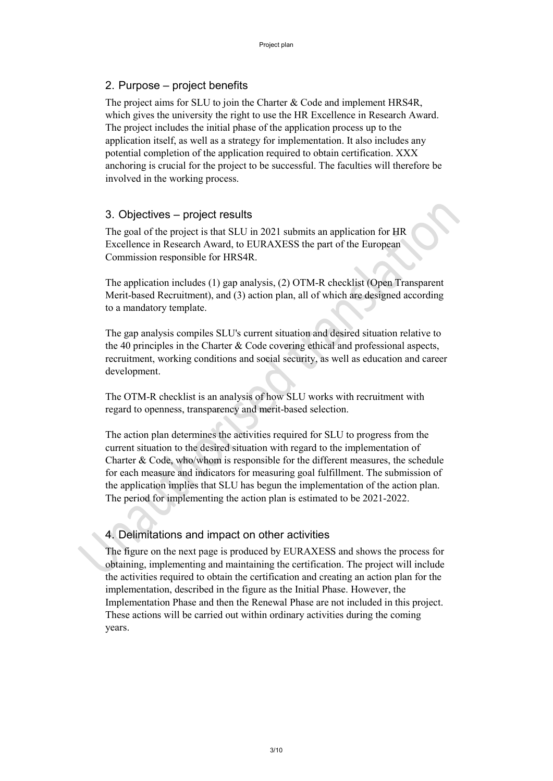## 2. Purpose – project benefits

The project aims for SLU to join the Charter & Code and implement HRS4R, which gives the university the right to use the HR Excellence in Research Award. The project includes the initial phase of the application process up to the application itself, as well as a strategy for implementation. It also includes any potential completion of the application required to obtain certification. XXX anchoring is crucial for the project to be successful. The faculties will therefore be involved in the working process.

# 3. Objectives – project results

The goal of the project is that SLU in 2021 submits an application for HR Excellence in Research Award, to EURAXESS the part of the European Commission responsible for HRS4R.

The application includes (1) gap analysis, (2) OTM-R checklist (Open Transparent Merit-based Recruitment), and (3) action plan, all of which are designed according to a mandatory template.

The gap analysis compiles SLU's current situation and desired situation relative to the 40 principles in the Charter & Code covering ethical and professional aspects, recruitment, working conditions and social security, as well as education and career development.

The OTM-R checklist is an analysis of how SLU works with recruitment with regard to openness, transparency and merit-based selection.

The action plan determines the activities required for SLU to progress from the current situation to the desired situation with regard to the implementation of Charter  $& Code, who/whom$  is responsible for the different measures, the schedule for each measure and indicators for measuring goal fulfillment. The submission of the application implies that SLU has begun the implementation of the action plan. The period for implementing the action plan is estimated to be 2021-2022.

#### 4. Delimitations and impact on other activities

The figure on the next page is produced by EURAXESS and shows the process for obtaining, implementing and maintaining the certification. The project will include the activities required to obtain the certification and creating an action plan for the implementation, described in the figure as the Initial Phase. However, the Implementation Phase and then the Renewal Phase are not included in this project. These actions will be carried out within ordinary activities during the coming years.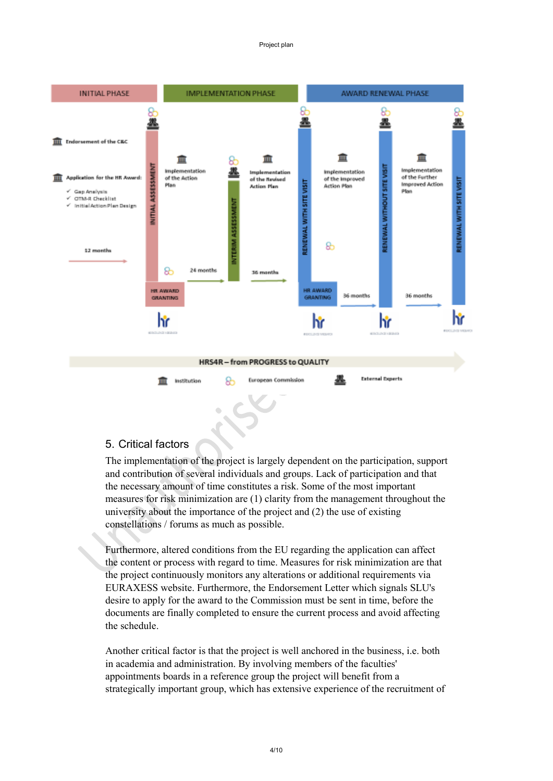Project plan



#### 5. Critical factors

The implementation of the project is largely dependent on the participation, support and contribution of several individuals and groups. Lack of participation and that the necessary amount of time constitutes a risk. Some of the most important measures for risk minimization are (1) clarity from the management throughout the university about the importance of the project and (2) the use of existing constellations / forums as much as possible.

Furthermore, altered conditions from the EU regarding the application can affect the content or process with regard to time. Measures for risk minimization are that the project continuously monitors any alterations or additional requirements via EURAXESS website. Furthermore, the Endorsement Letter which signals SLU's desire to apply for the award to the Commission must be sent in time, before the documents are finally completed to ensure the current process and avoid affecting the schedule.

Another critical factor is that the project is well anchored in the business, i.e. both in academia and administration. By involving members of the faculties' appointments boards in a reference group the project will benefit from a strategically important group, which has extensive experience of the recruitment of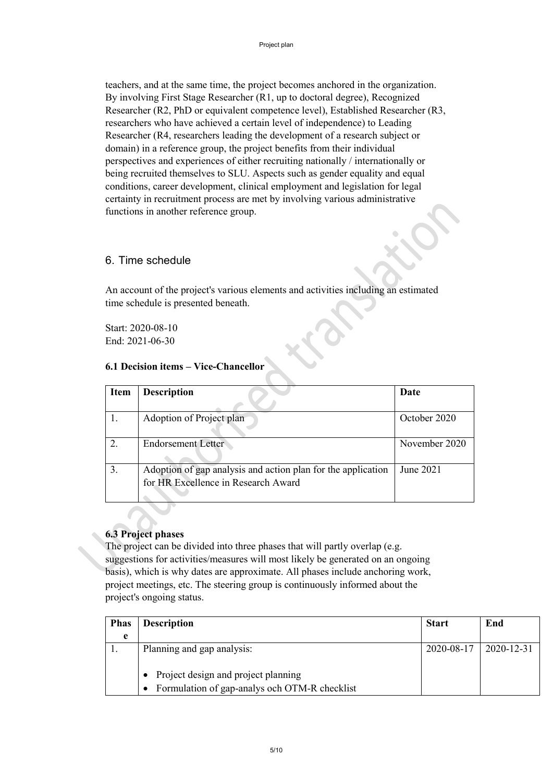teachers, and at the same time, the project becomes anchored in the organization. By involving First Stage Researcher (R1, up to doctoral degree), Recognized Researcher (R2, PhD or equivalent competence level), Established Researcher (R3, researchers who have achieved a certain level of independence) to Leading Researcher (R4, researchers leading the development of a research subject or domain) in a reference group, the project benefits from their individual perspectives and experiences of either recruiting nationally / internationally or being recruited themselves to SLU. Aspects such as gender equality and equal conditions, career development, clinical employment and legislation for legal certainty in recruitment process are met by involving various administrative functions in another reference group.

#### 6. Time schedule

An account of the project's various elements and activities including an estimated time schedule is presented beneath.

Start: 2020-08-10 End: 2021-06-30

#### **6.1 Decision items – Vice-Chancellor**

| <b>Item</b> | <b>Description</b>                                           | <b>Date</b>   |
|-------------|--------------------------------------------------------------|---------------|
|             |                                                              |               |
|             | Adoption of Project plan                                     | October 2020  |
|             | <b>Endorsement Letter</b>                                    | November 2020 |
|             | Adoption of gap analysis and action plan for the application | June 2021     |
|             | for HR Excellence in Research Award                          |               |

### **6.3 Project phases**

The project can be divided into three phases that will partly overlap (e.g. suggestions for activities/measures will most likely be generated on an ongoing basis), which is why dates are approximate. All phases include anchoring work, project meetings, etc. The steering group is continuously informed about the project's ongoing status.

| <b>Phas</b> | <b>Description</b>                            | <b>Start</b> | End               |
|-------------|-----------------------------------------------|--------------|-------------------|
| e           |                                               |              |                   |
|             | Planning and gap analysis:                    | 2020-08-17   | $12020 - 12 - 31$ |
|             | • Project design and project planning         |              |                   |
|             | Formulation of gap-analys och OTM-R checklist |              |                   |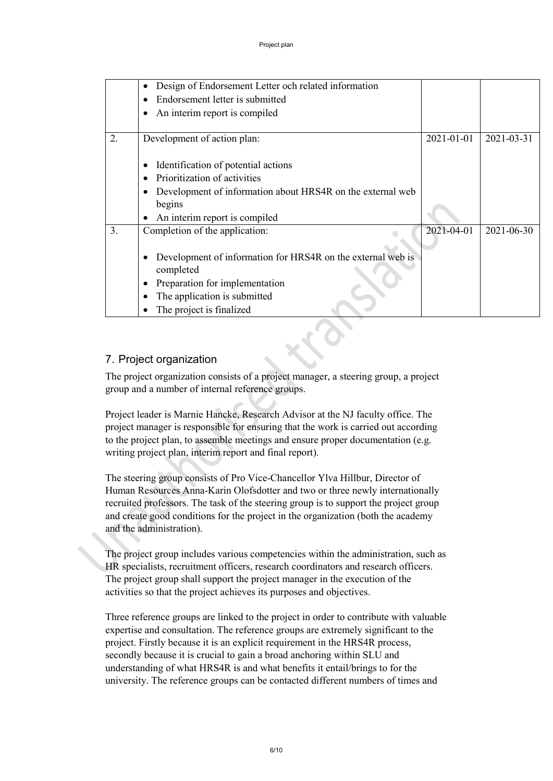|    | Design of Endorsement Letter och related information        |            |            |
|----|-------------------------------------------------------------|------------|------------|
|    | Endorsement letter is submitted                             |            |            |
|    | An interim report is compiled                               |            |            |
| 2. | Development of action plan:                                 | 2021-01-01 | 2021-03-31 |
|    |                                                             |            |            |
|    | Identification of potential actions                         |            |            |
|    | Prioritization of activities                                |            |            |
|    | Development of information about HRS4R on the external web  |            |            |
|    | begins                                                      |            |            |
|    | An interim report is compiled<br>٠                          |            |            |
| 3. | Completion of the application:                              | 2021-04-01 | 2021-06-30 |
|    |                                                             |            |            |
|    | Development of information for HRS4R on the external web is |            |            |
|    | completed                                                   |            |            |
|    | Preparation for implementation                              |            |            |
|    | The application is submitted<br>٠                           |            |            |
|    | The project is finalized                                    |            |            |

### 7. Project organization

The project organization consists of a project manager, a steering group, a project group and a number of internal reference groups.

Project leader is Marnie Hancke, Research Advisor at the NJ faculty office. The project manager is responsible for ensuring that the work is carried out according to the project plan, to assemble meetings and ensure proper documentation (e.g. writing project plan, interim report and final report).

The steering group consists of Pro Vice-Chancellor Ylva Hillbur, Director of Human Resources Anna-Karin Olofsdotter and two or three newly internationally recruited professors. The task of the steering group is to support the project group and create good conditions for the project in the organization (both the academy and the administration).

The project group includes various competencies within the administration, such as HR specialists, recruitment officers, research coordinators and research officers. The project group shall support the project manager in the execution of the activities so that the project achieves its purposes and objectives.

Three reference groups are linked to the project in order to contribute with valuable expertise and consultation. The reference groups are extremely significant to the project. Firstly because it is an explicit requirement in the HRS4R process, secondly because it is crucial to gain a broad anchoring within SLU and understanding of what HRS4R is and what benefits it entail/brings to for the university. The reference groups can be contacted different numbers of times and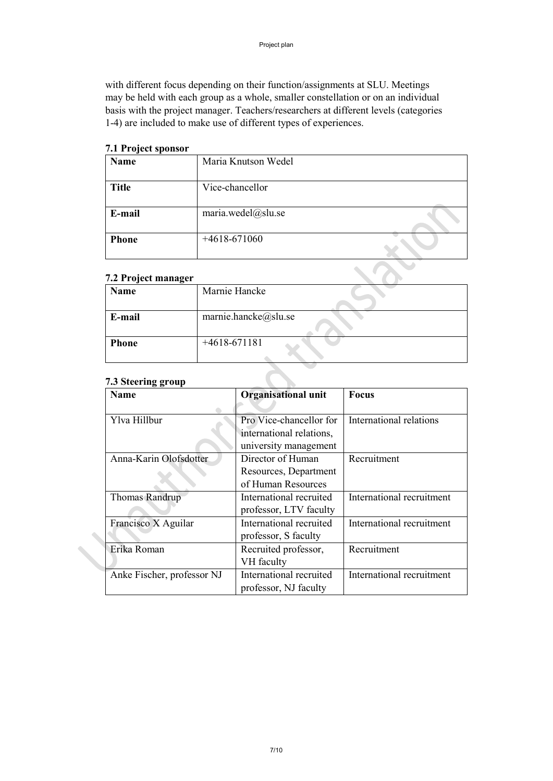with different focus depending on their function/assignments at SLU. Meetings may be held with each group as a whole, smaller constellation or on an individual basis with the project manager. Teachers/researchers at different levels (categories 1-4) are included to make use of different types of experiences.

#### **7.1 Project sponsor**

| <b>Name</b>  | Maria Knutson Wedel |
|--------------|---------------------|
|              |                     |
| <b>Title</b> | Vice-chancellor     |
| E-mail       | maria.wedel@slu.se  |
| <b>Phone</b> | $+4618-671060$      |

#### **7.2 Project manager**

| $\frac{1}{2}$ $\frac{1}{2}$ $\frac{1}{2}$ $\frac{1}{2}$ $\frac{1}{2}$ $\frac{1}{2}$ $\frac{1}{2}$ $\frac{1}{2}$ $\frac{1}{2}$ $\frac{1}{2}$ $\frac{1}{2}$ $\frac{1}{2}$ $\frac{1}{2}$ $\frac{1}{2}$ $\frac{1}{2}$ $\frac{1}{2}$ $\frac{1}{2}$ $\frac{1}{2}$ $\frac{1}{2}$ $\frac{1}{2}$ $\frac{1}{2}$ $\frac{1}{2}$ |                      |
|---------------------------------------------------------------------------------------------------------------------------------------------------------------------------------------------------------------------------------------------------------------------------------------------------------------------|----------------------|
| <b>Name</b>                                                                                                                                                                                                                                                                                                         | Marnie Hancke        |
|                                                                                                                                                                                                                                                                                                                     |                      |
| E-mail                                                                                                                                                                                                                                                                                                              | marnie.hancke@slu.se |
|                                                                                                                                                                                                                                                                                                                     |                      |
| <b>Phone</b>                                                                                                                                                                                                                                                                                                        | $+4618-671181$       |
|                                                                                                                                                                                                                                                                                                                     |                      |
|                                                                                                                                                                                                                                                                                                                     |                      |

# **7.3 Steering group**

| 00<br><b>Name</b>          | <b>Organisational unit</b>                                                   | Focus                     |
|----------------------------|------------------------------------------------------------------------------|---------------------------|
| Ylva Hillbur               | Pro Vice-chancellor for<br>international relations,<br>university management | International relations   |
| Anna-Karin Olofsdotter     | Director of Human<br>Resources, Department<br>of Human Resources             | Recruitment               |
| Thomas Randrup             | International recruited<br>professor, LTV faculty                            | International recruitment |
| Francisco X Aguilar        | International recruited<br>professor, S faculty                              | International recruitment |
| Erika Roman                | Recruited professor,<br>VH faculty                                           | Recruitment               |
| Anke Fischer, professor NJ | International recruited<br>professor, NJ faculty                             | International recruitment |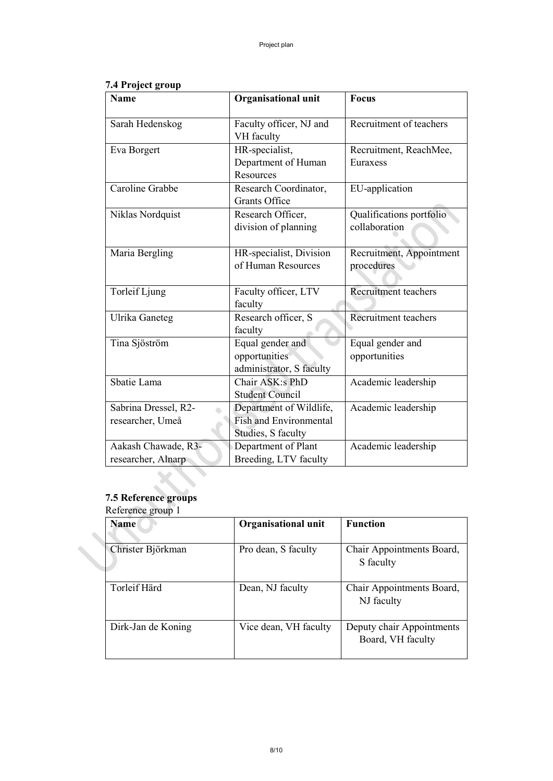| <b>Name</b>                              | <b>Organisational unit</b>                                    | <b>Focus</b>                              |
|------------------------------------------|---------------------------------------------------------------|-------------------------------------------|
| Sarah Hedenskog                          | Faculty officer, NJ and<br>VH faculty                         | Recruitment of teachers                   |
| Eva Borgert                              | HR-specialist,<br>Department of Human<br>Resources            | Recruitment, ReachMee,<br>Euraxess        |
| Caroline Grabbe                          | Research Coordinator,<br><b>Grants Office</b>                 | EU-application                            |
| Niklas Nordquist                         | Research Officer,<br>division of planning                     | Qualifications portfolio<br>collaboration |
| Maria Bergling                           | HR-specialist, Division<br>of Human Resources                 | Recruitment, Appointment<br>procedures    |
| Torleif Ljung                            | Faculty officer, LTV<br>faculty                               | Recruitment teachers                      |
| Ulrika Ganeteg                           | Research officer, S<br>faculty                                | Recruitment teachers                      |
| Tina Sjöström                            | Equal gender and<br>opportunities<br>administrator, S faculty | Equal gender and<br>opportunities         |
| Sbatie Lama                              | Chair ASK:s PhD<br><b>Student Council</b>                     | Academic leadership                       |
| Sabrina Dressel, R2-<br>researcher, Umeå | Department of Wildlife,<br><b>Fish and Environmental</b>      | Academic leadership                       |

Studies, S faculty

Department of Plant Breeding, LTV faculty Academic leadership

# **7.5 Reference groups**

Aakash Chawade, R3 researcher, Alnarp

Reference group 1

| Name               | <b>Organisational unit</b> | <b>Function</b>                                |
|--------------------|----------------------------|------------------------------------------------|
| Christer Björkman  | Pro dean, S faculty        | Chair Appointments Board,<br>S faculty         |
| Torleif Härd       | Dean, NJ faculty           | Chair Appointments Board,<br>NJ faculty        |
| Dirk-Jan de Koning | Vice dean, VH faculty      | Deputy chair Appointments<br>Board, VH faculty |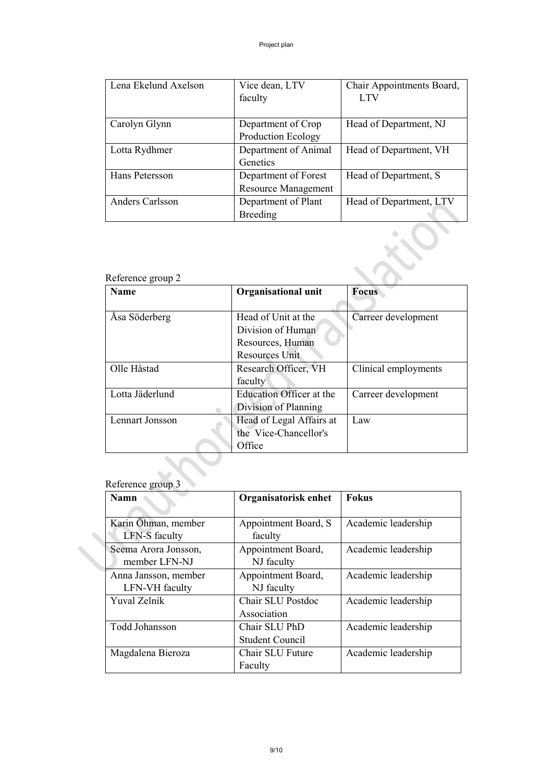| Lena Ekelund Axelson | Vice dean, LTV             | Chair Appointments Board, |
|----------------------|----------------------------|---------------------------|
|                      | faculty                    | <b>LTV</b>                |
|                      |                            |                           |
| Carolyn Glynn        | Department of Crop         | Head of Department, NJ    |
|                      | <b>Production Ecology</b>  |                           |
| Lotta Rydhmer        | Department of Animal       | Head of Department, VH    |
|                      | Genetics                   |                           |
| Hans Petersson       | Department of Forest       | Head of Department, S     |
|                      | <b>Resource Management</b> |                           |
| Anders Carlsson      | Department of Plant        | Head of Department, LTV   |
|                      | Breeding                   |                           |
| Reference group 2    |                            |                           |

| Reference group 2 |
|-------------------|
|-------------------|

| Name            | <b>Organisational unit</b> | <b>Focus</b>         |
|-----------------|----------------------------|----------------------|
|                 |                            |                      |
| Åsa Söderberg   | Head of Unit at the        | Carreer development  |
|                 | Division of Human          |                      |
|                 | Resources, Human           |                      |
|                 | Resources Unit             |                      |
| Olle Håstad     | Research Officer, VH       | Clinical employments |
|                 | faculty                    |                      |
| Lotta Jäderlund | Education Officer at the   | Carreer development  |
|                 | Division of Planning       |                      |
| Lennart Jonsson | Head of Legal Affairs at   | Law                  |
|                 | the Vice-Chancellor's      |                      |
|                 | Office                     |                      |

# Reference group 3

 $\hat{\mathbf{q}}$ 

S

| <b>Namn</b>          | Organisatorisk enhet | <b>Fokus</b>        |
|----------------------|----------------------|---------------------|
| Karin Öhman, member  | Appointment Board, S | Academic leadership |
| LFN-S faculty        | faculty              |                     |
| Seema Arora Jonsson, | Appointment Board,   | Academic leadership |
| member LFN-NJ        | NJ faculty           |                     |
| Anna Jansson, member | Appointment Board,   | Academic leadership |
| LFN-VH faculty       | NJ faculty           |                     |
| <b>Yuval Zelnik</b>  | Chair SLU Postdoc    | Academic leadership |
|                      | Association          |                     |
| Todd Johansson       | Chair SLU PhD        | Academic leadership |
|                      | Student Council      |                     |
| Magdalena Bieroza    | Chair SLU Future     | Academic leadership |
|                      | Faculty              |                     |